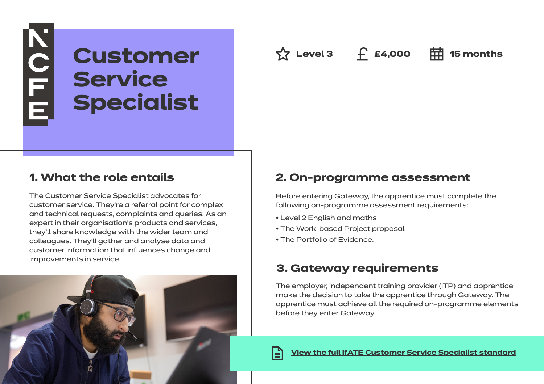# NOFE **Customer Service Specialist**

**△ Level 3 f £4,000 □** 15 months

# **1. What the role entails**

The Customer Service Specialist advocates for customer service. They're a referral point for complex and technical requests, complaints and queries. As an expert in their organisation's products and services, they'll share knowledge with the wider team and colleagues. They'll gather and analyse data and customer information that influences change and improvements in service.

# **2. On-programme assessment**

Before entering Gateway, the apprentice must complete the following on-programme assessment requirements:

- Level 2 English and maths
- The Work-based Project proposal
- The Portfolio of Evidence.

# **3. Gateway requirements**

The employer, independent training provider (ITP) and apprentice make the decision to take the apprentice through Gateway. The apprentice must achieve all the required on-programme elements before they enter Gateway.